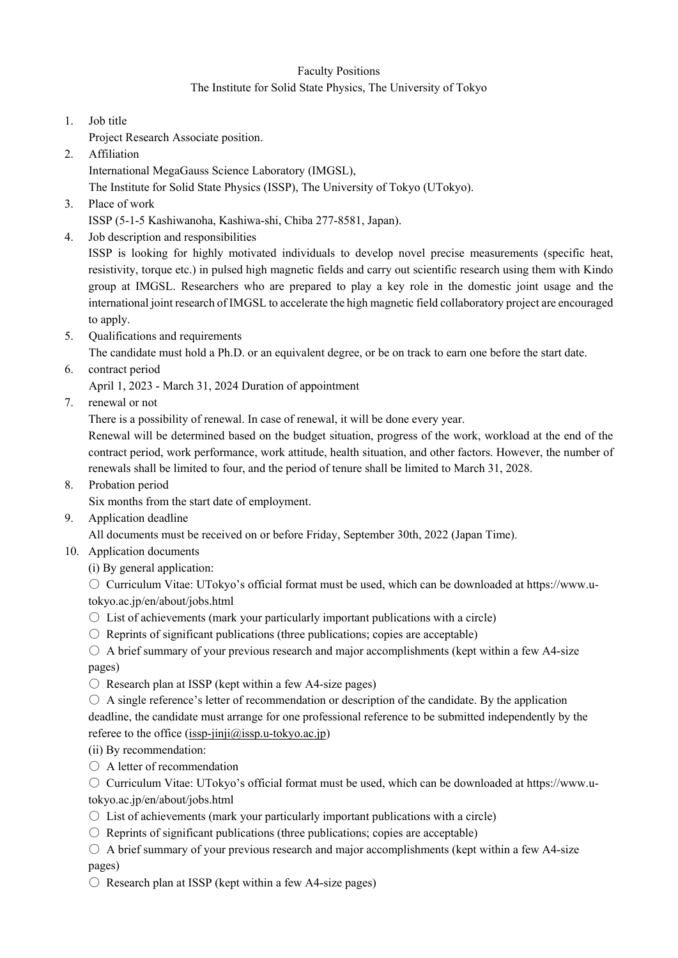## Faculty Positions

## The Institute for Solid State Physics, The University of Tokyo

- 1. Job title
- Project Research Associate position.
- 2. Affiliation

International MegaGauss Science Laboratory (IMGSL),

The Institute for Solid State Physics (ISSP), The University of Tokyo (UTokyo).

3. Place of work

ISSP (5-1-5 Kashiwanoha, Kashiwa-shi, Chiba 277-8581, Japan).

4. Job description and responsibilities

ISSP is looking for highly motivated individuals to develop novel precise measurements (specific heat, resistivity, torque etc.) in pulsed high magnetic fields and carry out scientific research using them with Kindo group at IMGSL. Researchers who are prepared to play a key role in the domestic joint usage and the international joint research of IMGSL to accelerate the high magnetic field collaboratory project are encouraged to apply.

5. Qualifications and requirements

The candidate must hold a Ph.D. or an equivalent degree, or be on track to earn one before the start date.

6. contract period

April 1, 2023 - March 31, 2024 Duration of appointment

7. renewal or not

There is a possibility of renewal. In case of renewal, it will be done every year.

Renewal will be determined based on the budget situation, progress of the work, workload at the end of the contract period, work performance, work attitude, health situation, and other factors. However, the number of renewals shall be limited to four, and the period of tenure shall be limited to March 31, 2028.

8. Probation period

Six months from the start date of employment.

9. Application deadline

All documents must be received on or before Friday, September 30th, 2022 (Japan Time).

- 10. Application documents
	- (i) By general application:

○ Curriculum Vitae: UTokyo's official format must be used, which can be downloaded at https://www.utokyo.ac.jp/en/about/jobs.html

- $\circ$  List of achievements (mark your particularly important publications with a circle)
- $\circ$  Reprints of significant publications (three publications; copies are acceptable)
- $\circ$  A brief summary of your previous research and major accomplishments (kept within a few A4-size pages)
- $\bigcirc$  Research plan at ISSP (kept within a few A4-size pages)
- $\circ$  A single reference's letter of recommendation or description of the candidate. By the application deadline, the candidate must arrange for one professional reference to be submitted independently by the referee to the office  $(issp-jinji@issp.u-tokyo.ac.jp)$

(ii) By recommendation:

- A letter of recommendation
- Curriculum Vitae: UTokyo's official format must be used, which can be downloaded at https://www.utokyo.ac.jp/en/about/jobs.html
- $\circ$  List of achievements (mark your particularly important publications with a circle)
- $\circ$  Reprints of significant publications (three publications; copies are acceptable)
- $\circ$  A brief summary of your previous research and major accomplishments (kept within a few A4-size pages)
- $\circ$  Research plan at ISSP (kept within a few A4-size pages)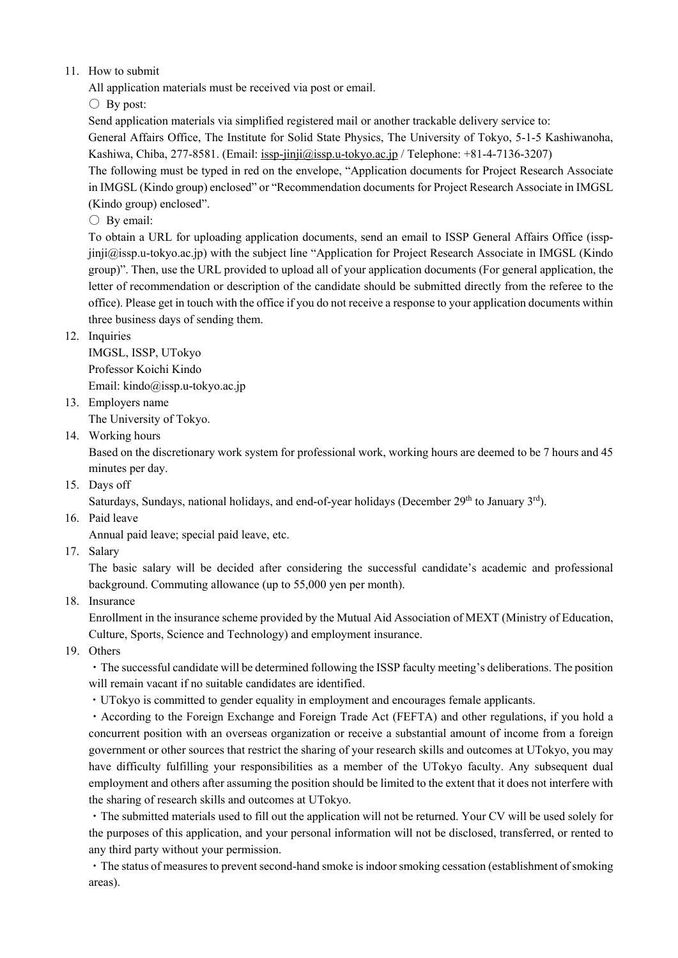## 11. How to submit

All application materials must be received via post or email.

 $\bigcirc$  By post:

Send application materials via simplified registered mail or another trackable delivery service to:

General Affairs Office, The Institute for Solid State Physics, The University of Tokyo, 5-1-5 Kashiwanoha, Kashiwa, Chiba, 277-8581. (Email: issp-jinji@issp.u-tokyo.ac.jp / Telephone: +81-4-7136-3207)

The following must be typed in red on the envelope, "Application documents for Project Research Associate in IMGSL (Kindo group) enclosed" or "Recommendation documents for Project Research Associate in IMGSL (Kindo group) enclosed".

 $\bigcirc$  By email:

To obtain a URL for uploading application documents, send an email to ISSP General Affairs Office (isspjinji@issp.u-tokyo.ac.jp) with the subject line "Application for Project Research Associate in IMGSL (Kindo group)". Then, use the URL provided to upload all of your application documents (For general application, the letter of recommendation or description of the candidate should be submitted directly from the referee to the office). Please get in touch with the office if you do not receive a response to your application documents within three business days of sending them.

## 12. Inquiries

IMGSL, ISSP, UTokyo Professor Koichi Kindo Email: kindo@issp.u-tokyo.ac.jp

13. Employers name

The University of Tokyo.

14. Working hours

Based on the discretionary work system for professional work, working hours are deemed to be 7 hours and 45 minutes per day.

15. Days off

Saturdays, Sundays, national holidays, and end-of-year holidays (December 29<sup>th</sup> to January 3<sup>rd</sup>).

16. Paid leave

Annual paid leave; special paid leave, etc.

17. Salary

The basic salary will be decided after considering the successful candidate's academic and professional background. Commuting allowance (up to 55,000 yen per month).

18. Insurance

Enrollment in the insurance scheme provided by the Mutual Aid Association of MEXT (Ministry of Education, Culture, Sports, Science and Technology) and employment insurance.

19. Others

・The successful candidate will be determined following the ISSP faculty meeting's deliberations. The position will remain vacant if no suitable candidates are identified.

・UTokyo is committed to gender equality in employment and encourages female applicants.

・According to the Foreign Exchange and Foreign Trade Act (FEFTA) and other regulations, if you hold a concurrent position with an overseas organization or receive a substantial amount of income from a foreign government or other sources that restrict the sharing of your research skills and outcomes at UTokyo, you may have difficulty fulfilling your responsibilities as a member of the UTokyo faculty. Any subsequent dual employment and others after assuming the position should be limited to the extent that it does not interfere with the sharing of research skills and outcomes at UTokyo.

・The submitted materials used to fill out the application will not be returned. Your CV will be used solely for the purposes of this application, and your personal information will not be disclosed, transferred, or rented to any third party without your permission.

・The status of measures to prevent second-hand smoke is indoor smoking cessation (establishment of smoking areas).